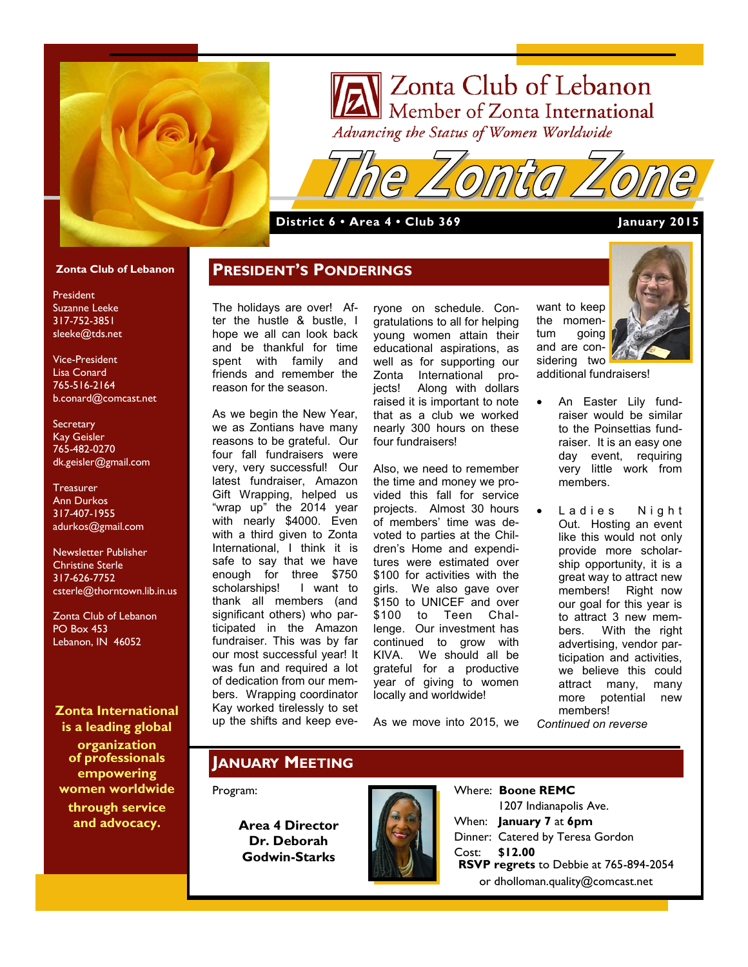

# Zonta Club of Lebanon Advancing the Status of Women Worldwide

#### **District 6 • Area 4 • Club 369 January 2015**

#### **Zonta Club of Lebanon**

President Suzanne Leeke 317-752-3851 sleeke@tds.net

Vice-President Lisa Conard 765-516-2164 b.conard@comcast.net

**Secretary** Kay Geisler 765-482-0270 dk.geisler@gmail.com

**Treasurer** Ann Durkos 317-407-1955 adurkos@gmail.com

Newsletter Publisher Christine Sterle 317-626-7752 csterle@thorntown.lib.in.us

Zonta Club of Lebanon PO Box 453 Lebanon, IN 46052

**Zonta International is a leading global** 

**organization of professionals empowering women worldwide through service and advocacy.**

The holidays are over! After the hustle & bustle, I hope we all can look back and be thankful for time spent with family and friends and remember the reason for the season.

**PRESIDENT'S PONDERINGS**

As we begin the New Year, we as Zontians have many reasons to be grateful. Our four fall fundraisers were very, very successful! Our latest fundraiser, Amazon Gift Wrapping, helped us "wrap up" the 2014 year with nearly \$4000. Even with a third given to Zonta International, I think it is safe to say that we have enough for three \$750 scholarships! I want to thank all members (and significant others) who participated in the Amazon fundraiser. This was by far our most successful year! It was fun and required a lot of dedication from our members. Wrapping coordinator Kay worked tirelessly to set up the shifts and keep eve-

ryone on schedule. Congratulations to all for helping young women attain their educational aspirations, as well as for supporting our Zonta International projects! Along with dollars raised it is important to note that as a club we worked nearly 300 hours on these four fundraisers!

Also, we need to remember the time and money we provided this fall for service projects. Almost 30 hours of members' time was devoted to parties at the Children's Home and expenditures were estimated over \$100 for activities with the girls. We also gave over \$150 to UNICEF and over \$100 to Teen Challenge. Our investment has continued to grow with KIVA. We should all be grateful for a productive year of giving to women locally and worldwide!

As we move into 2015, we

want to keep the momentum going and are considering two additional fundraisers!



 An Easter Lily fundraiser would be similar to the Poinsettias fundraiser. It is an easy one day event, requiring very little work from members.

• Ladies Night Out. Hosting an event like this would not only provide more scholarship opportunity, it is a great way to attract new members! Right now our goal for this year is to attract 3 new members. With the right advertising, vendor participation and activities, we believe this could attract many, many more potential new members! *Continued on reverse*

#### **JANUARY MEETING**

#### Program:

**Area 4 Director Dr. Deborah Godwin-Starks**



Where: **Boone REMC** 1207 Indianapolis Ave. When: **January 7** at **6pm** Dinner: Catered by Teresa Gordon Cost: **\$12.00 RSVP regrets** to Debbie at 765-894-2054 or dholloman.quality@comcast.net